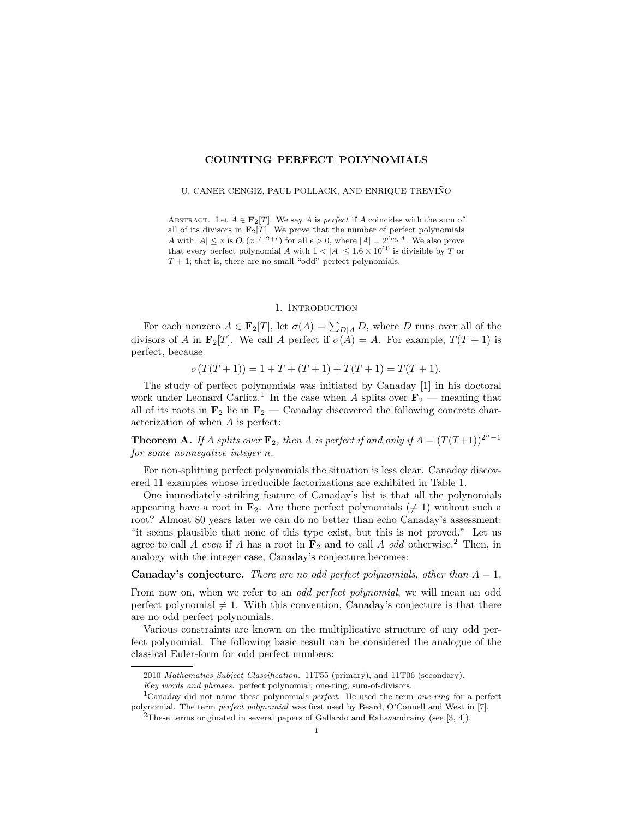## COUNTING PERFECT POLYNOMIALS

#### U. CANER CENGIZ, PAUL POLLACK, AND ENRIQUE TREVIÑO

ABSTRACT. Let  $A \in \mathbf{F}_2[T]$ . We say A is perfect if A coincides with the sum of all of its divisors in  $\mathbf{F}_2[T]$ . We prove that the number of perfect polynomials A with  $|A| \leq x$  is  $O_{\epsilon}(x^{1/12+\epsilon})$  for all  $\epsilon > 0$ , where  $|A| = 2^{\deg A}$ . We also prove that every perfect polynomial A with  $1 < |A| \leq 1.6 \times 10^{60}$  is divisible by T or  $T + 1$ ; that is, there are no small "odd" perfect polynomials.

## 1. INTRODUCTION

For each nonzero  $A \in \mathbf{F}_2[T]$ , let  $\sigma(A) = \sum_{D|A} D$ , where D runs over all of the divisors of A in  $\mathbf{F}_2[T]$ . We call A perfect if  $\sigma(A) = A$ . For example,  $T(T+1)$  is perfect, because

 $\sigma(T(T+1)) = 1 + T + (T+1) + T(T+1) = T(T+1).$ 

The study of perfect polynomials was initiated by Canaday [1] in his doctoral work under Leonard Carlitz.<sup>1</sup> In the case when A splits over  $\mathbf{F}_2$  — meaning that all of its roots in  $\overline{F_2}$  lie in  $F_2$  — Canaday discovered the following concrete characterization of when A is perfect:

**Theorem A.** If A splits over  $\mathbf{F}_2$ , then A is perfect if and only if  $A = (T(T+1))^{2^n-1}$ for some nonnegative integer n.

For non-splitting perfect polynomials the situation is less clear. Canaday discovered 11 examples whose irreducible factorizations are exhibited in Table 1.

One immediately striking feature of Canaday's list is that all the polynomials appearing have a root in  $\mathbf{F}_2$ . Are there perfect polynomials ( $\neq 1$ ) without such a root? Almost 80 years later we can do no better than echo Canaday's assessment: "it seems plausible that none of this type exist, but this is not proved." Let us agree to call A even if A has a root in  $\mathbf{F}_2$  and to call A odd otherwise.<sup>2</sup> Then, in analogy with the integer case, Canaday's conjecture becomes:

# **Canaday's conjecture.** There are no odd perfect polynomials, other than  $A = 1$ .

From now on, when we refer to an *odd perfect polynomial*, we will mean an odd perfect polynomial  $\neq 1$ . With this convention, Canaday's conjecture is that there are no odd perfect polynomials.

Various constraints are known on the multiplicative structure of any odd perfect polynomial. The following basic result can be considered the analogue of the classical Euler-form for odd perfect numbers:

<sup>2010</sup> Mathematics Subject Classification. 11T55 (primary), and 11T06 (secondary).

Key words and phrases. perfect polynomial; one-ring; sum-of-divisors.

<sup>&</sup>lt;sup>1</sup>Canaday did not name these polynomials *perfect*. He used the term *one-ring* for a perfect polynomial. The term perfect polynomial was first used by Beard, O'Connell and West in [7].

<sup>&</sup>lt;sup>2</sup>These terms originated in several papers of Gallardo and Rahavandrainy (see [3, 4]).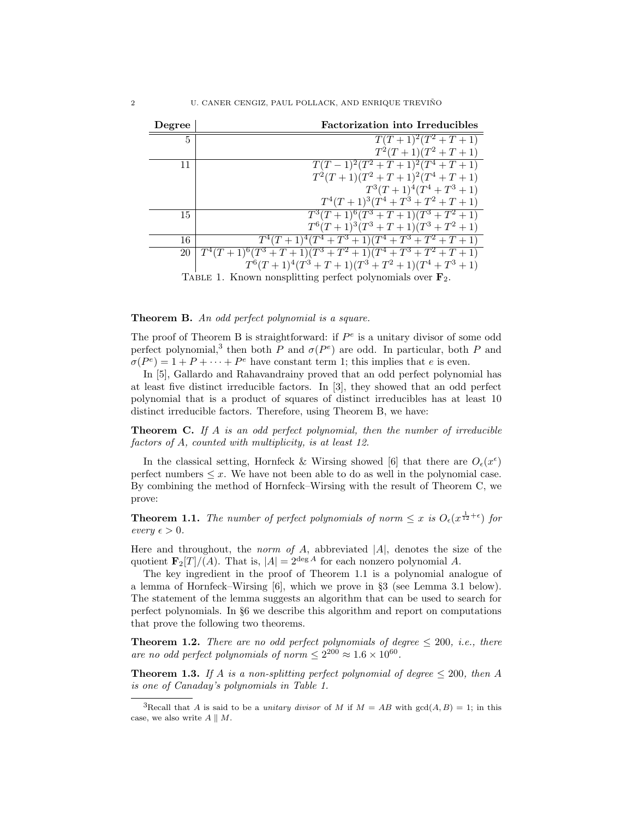| Degree                                                                | <b>Factorization into Irreducibles</b>                    |
|-----------------------------------------------------------------------|-----------------------------------------------------------|
| 5                                                                     | $T(T+1)^2(T^2+T+1)$                                       |
|                                                                       | $T^2(T+1)(T^2+T+1)$                                       |
| 11                                                                    | $T(T-1)^2(T^2+T+1)^2(T^4+T+1)$                            |
|                                                                       | $T^2(T+1)(T^2+T+1)^2(T^4+T+1)$                            |
|                                                                       | $T^3(T+1)^4(T^4+T^3+1)$                                   |
|                                                                       | $T^4(T+1)^3(T^4+T^3+T^2+T+1)$                             |
| 15                                                                    | $T^3(T+1)^6(T^3+T+1)(T^3+T^2+1)$                          |
|                                                                       | $T^6(T+1)^3(T^3+T+1)(T^3+T^2+1)$                          |
| 16                                                                    | $T^4(T+1)^4(T^4+T^3+1)(T^4+T^3+T^2+T+1)$                  |
| 20                                                                    | $T^4(T+1)^6(T^3+T+1)(T^3+T^2+1)(T^4+T^3+T^2+T+1)$         |
|                                                                       | $T^{6}(T+1)^{4}(T^{3}+T+1)(T^{3}+T^{2}+1)(T^{4}+T^{3}+1)$ |
| TABLE 1. Known nonsplitting perfect polynomials over $\mathbf{F}_2$ . |                                                           |

### Theorem B. An odd perfect polynomial is a square.

The proof of Theorem B is straightforward: if  $P^e$  is a unitary divisor of some odd perfect polynomial,<sup>3</sup> then both P and  $\sigma(P^e)$  are odd. In particular, both P and  $\sigma(P^e) = 1 + P + \cdots + P^e$  have constant term 1; this implies that e is even.

In [5], Gallardo and Rahavandrainy proved that an odd perfect polynomial has at least five distinct irreducible factors. In [3], they showed that an odd perfect polynomial that is a product of squares of distinct irreducibles has at least 10 distinct irreducible factors. Therefore, using Theorem B, we have:

**Theorem C.** If A is an odd perfect polynomial, then the number of irreducible factors of A, counted with multiplicity, is at least 12.

In the classical setting, Hornfeck & Wirsing showed [6] that there are  $O_{\epsilon}(x^{\epsilon})$ perfect numbers  $\leq x$ . We have not been able to do as well in the polynomial case. By combining the method of Hornfeck–Wirsing with the result of Theorem C, we prove:

**Theorem 1.1.** The number of perfect polynomials of norm  $\leq x$  is  $O_{\epsilon}(x^{\frac{1}{12}+\epsilon})$  for  $every \epsilon > 0.$ 

Here and throughout, the *norm of A*, abbreviated  $|A|$ , denotes the size of the quotient  $\mathbf{F}_2[T]/(A)$ . That is,  $|A| = 2^{\deg A}$  for each nonzero polynomial A.

The key ingredient in the proof of Theorem 1.1 is a polynomial analogue of a lemma of Hornfeck–Wirsing [6], which we prove in §3 (see Lemma 3.1 below). The statement of the lemma suggests an algorithm that can be used to search for perfect polynomials. In §6 we describe this algorithm and report on computations that prove the following two theorems.

**Theorem 1.2.** There are no odd perfect polynomials of degree  $\leq 200$ , i.e., there are no odd perfect polynomials of norm  $\leq 2^{200} \approx 1.6 \times 10^{60}$ .

**Theorem 1.3.** If A is a non-splitting perfect polynomial of degree  $\leq 200$ , then A is one of Canaday's polynomials in Table 1.

<sup>&</sup>lt;sup>3</sup>Recall that A is said to be a *unitary divisor* of M if  $M = AB$  with  $gcd(A, B) = 1$ ; in this case, we also write  $A \parallel M$ .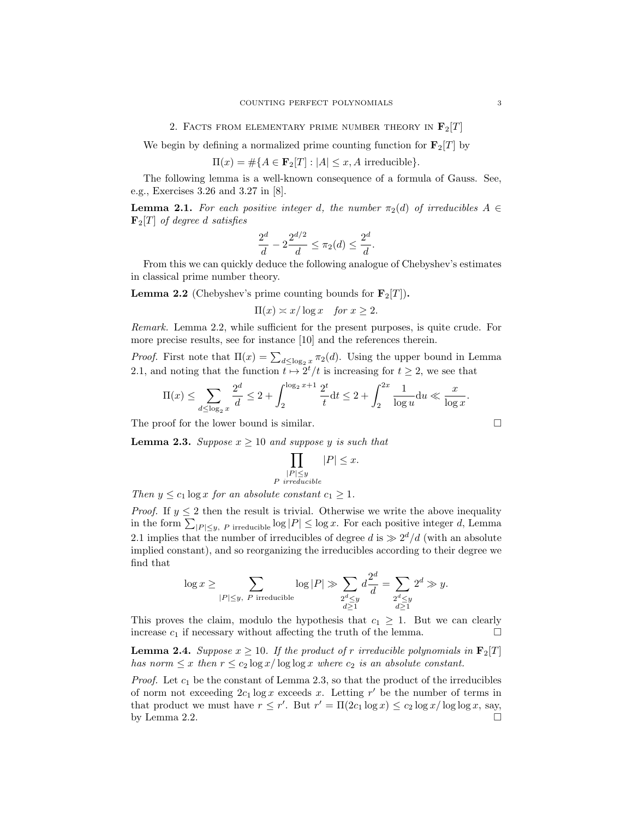#### 2. FACTS FROM ELEMENTARY PRIME NUMBER THEORY IN  $\mathbf{F}_2[T]$

We begin by defining a normalized prime counting function for  $\mathbf{F}_2[T]$  by

$$
\Pi(x) = \# \{ A \in \mathbf{F}_2[T] : |A| \le x, A \text{ irreducible} \}.
$$

The following lemma is a well-known consequence of a formula of Gauss. See, e.g., Exercises 3.26 and 3.27 in [8].

**Lemma 2.1.** For each positive integer d, the number  $\pi_2(d)$  of irreducibles  $A \in$  $\mathbf{F}_2[T]$  of degree d satisfies

$$
\frac{2^d}{d} - 2\frac{2^{d/2}}{d} \le \pi_2(d) \le \frac{2^d}{d}.
$$

From this we can quickly deduce the following analogue of Chebyshev's estimates in classical prime number theory.

**Lemma 2.2** (Chebyshev's prime counting bounds for  $\mathbf{F}_2[T]$ ).

$$
\Pi(x) \asymp x/\log x \quad \text{for } x \ge 2.
$$

Remark. Lemma 2.2, while sufficient for the present purposes, is quite crude. For more precise results, see for instance [10] and the references therein.

*Proof.* First note that  $\Pi(x) = \sum_{d \leq \log_2 x} \pi_2(d)$ . Using the upper bound in Lemma 2.1, and noting that the function  $t \mapsto 2^t/t$  is increasing for  $t \geq 2$ , we see that

$$
\Pi(x) \le \sum_{d \le \log_2 x} \frac{2^d}{d} \le 2 + \int_2^{\log_2 x + 1} \frac{2^t}{t} dt \le 2 + \int_2^{2x} \frac{1}{\log u} du \ll \frac{x}{\log x}.
$$

The proof for the lower bound is similar.

**Lemma 2.3.** Suppose  $x \ge 10$  and suppose y is such that

$$
\prod_{\substack{|P| \le y \\ P \text{ irreducible}}} |P| \le x.
$$

Then  $y \leq c_1 \log x$  for an absolute constant  $c_1 \geq 1$ .

*Proof.* If  $y \leq 2$  then the result is trivial. Otherwise we write the above inequality in the form  $\sum_{|P| \leq y, P}$  irreducible  $\log |P| \leq \log x$ . For each positive integer d, Lemma 2.1 implies that the number of irreducibles of degree d is  $\gg 2^d/d$  (with an absolute implied constant), and so reorganizing the irreducibles according to their degree we find that

$$
\log x \geq \sum_{|P| \leq y, \ P \text{ irreducible}} \log |P| \gg \sum_{\substack{2^d \leq y \\ d \geq 1}} d \frac{2^d}{d} = \sum_{\substack{2^d \leq y \\ d \geq 1}} 2^d \gg y.
$$

This proves the claim, modulo the hypothesis that  $c_1 \geq 1$ . But we can clearly increase  $c_1$  if necessary without affecting the truth of the lemma.  $\Box$ 

**Lemma 2.4.** Suppose  $x \ge 10$ . If the product of r irreducible polynomials in  $\mathbf{F}_2[T]$ has norm  $\leq x$  then  $r \leq c_2 \log x / \log \log x$  where  $c_2$  is an absolute constant.

*Proof.* Let  $c_1$  be the constant of Lemma 2.3, so that the product of the irreducibles of norm not exceeding  $2c_1 \log x$  exceeds x. Letting r' be the number of terms in that product we must have  $r \leq r'$ . But  $r' = \Pi(2c_1 \log x) \leq c_2 \log x / \log \log x$ , say, by Lemma 2.2.  $\Box$ 

$$
\sqcup
$$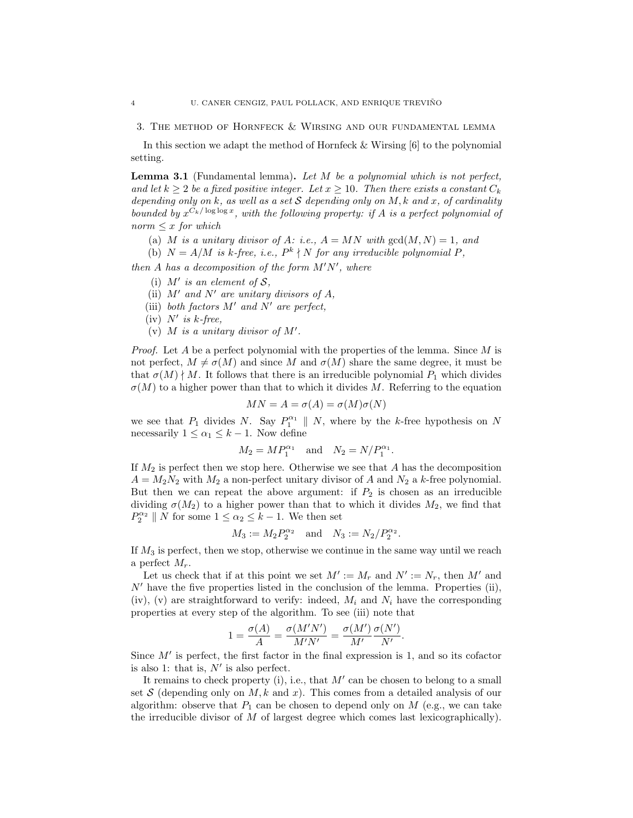3. The method of Hornfeck & Wirsing and our fundamental lemma

In this section we adapt the method of Hornfeck & Wirsing [6] to the polynomial setting.

**Lemma 3.1** (Fundamental lemma). Let  $M$  be a polynomial which is not perfect, and let  $k > 2$  be a fixed positive integer. Let  $x > 10$ . Then there exists a constant  $C_k$ depending only on k, as well as a set S depending only on M, k and x, of cardinality bounded by  $x^{C_k/\log \log x}$ , with the following property: if A is a perfect polynomial of  $norm \leq x$  for which

- (a) M is a unitary divisor of A: i.e.,  $A = MN$  with  $gcd(M, N) = 1$ , and
- (b)  $N = A/M$  is k-free, i.e.,  $P^k \nmid N$  for any irreducible polynomial P,

then A has a decomposition of the form  $M'N'$ , where

- (i)  $M'$  is an element of  $S$ ,
- (ii)  $M'$  and  $N'$  are unitary divisors of A,
- (iii) both factors  $M'$  and  $N'$  are perfect,
- (iv)  $N'$  is k-free,
- (v)  $M$  is a unitary divisor of  $M'$ .

*Proof.* Let A be a perfect polynomial with the properties of the lemma. Since  $M$  is not perfect,  $M \neq \sigma(M)$  and since M and  $\sigma(M)$  share the same degree, it must be that  $\sigma(M) \nmid M$ . It follows that there is an irreducible polynomial  $P_1$  which divides  $\sigma(M)$  to a higher power than that to which it divides M. Referring to the equation

$$
MN = A = \sigma(A) = \sigma(M)\sigma(N)
$$

we see that  $P_1$  divides N. Say  $P_1^{\alpha_1} \parallel N$ , where by the k-free hypothesis on N necessarily  $1 \leq \alpha_1 \leq k-1$ . Now define

$$
M_2 = MP_1^{\alpha_1}
$$
 and  $N_2 = N/P_1^{\alpha_1}$ .

If  $M_2$  is perfect then we stop here. Otherwise we see that A has the decomposition  $A = M_2N_2$  with  $M_2$  a non-perfect unitary divisor of A and  $N_2$  a k-free polynomial. But then we can repeat the above argument: if  $P_2$  is chosen as an irreducible dividing  $\sigma(M_2)$  to a higher power than that to which it divides  $M_2$ , we find that  $P_2^{\alpha_2} \parallel N$  for some  $1 \leq \alpha_2 \leq k-1$ . We then set

$$
M_3 := M_2 P_2^{\alpha_2}
$$
 and  $N_3 := N_2 / P_2^{\alpha_2}$ .

If  $M_3$  is perfect, then we stop, otherwise we continue in the same way until we reach a perfect  $M_r$ .

Let us check that if at this point we set  $M' := M_r$  and  $N' := N_r$ , then M' and  $N'$  have the five properties listed in the conclusion of the lemma. Properties (ii), (iv), (v) are straightforward to verify: indeed,  $M_i$  and  $N_i$  have the corresponding properties at every step of the algorithm. To see (iii) note that

$$
1 = \frac{\sigma(A)}{A} = \frac{\sigma(M'N')}{M'N'} = \frac{\sigma(M')}{M'} \frac{\sigma(N')}{N'}.
$$

Since  $M'$  is perfect, the first factor in the final expression is 1, and so its cofactor is also 1: that is,  $N'$  is also perfect.

It remains to check property (i), i.e., that  $M'$  can be chosen to belong to a small set S (depending only on  $M, k$  and x). This comes from a detailed analysis of our algorithm: observe that  $P_1$  can be chosen to depend only on M (e.g., we can take the irreducible divisor of  $M$  of largest degree which comes last lexicographically).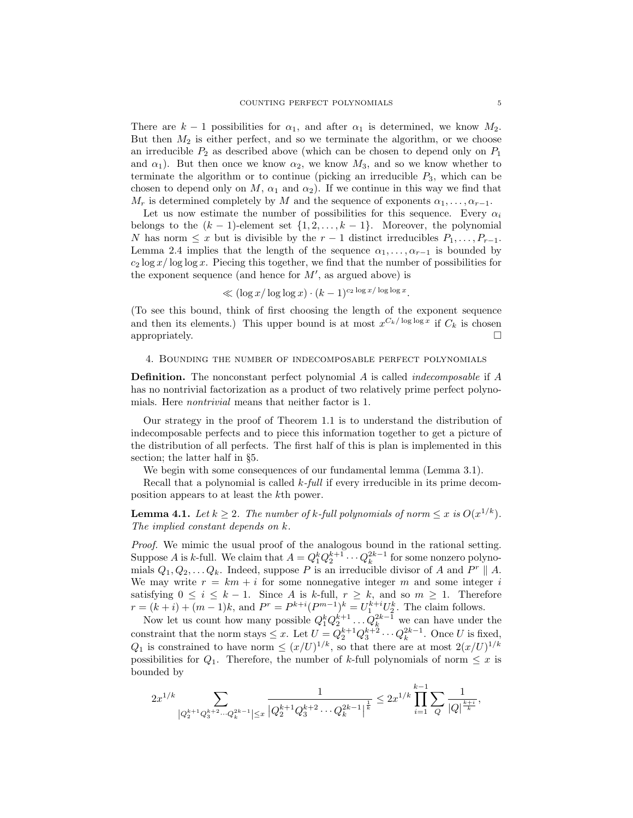There are  $k-1$  possibilities for  $\alpha_1$ , and after  $\alpha_1$  is determined, we know  $M_2$ . But then  $M_2$  is either perfect, and so we terminate the algorithm, or we choose an irreducible  $P_2$  as described above (which can be chosen to depend only on  $P_1$ and  $\alpha_1$ ). But then once we know  $\alpha_2$ , we know  $M_3$ , and so we know whether to terminate the algorithm or to continue (picking an irreducible  $P_3$ , which can be chosen to depend only on M,  $\alpha_1$  and  $\alpha_2$ ). If we continue in this way we find that  $M_r$  is determined completely by M and the sequence of exponents  $\alpha_1, \ldots, \alpha_{r-1}$ .

Let us now estimate the number of possibilities for this sequence. Every  $\alpha_i$ belongs to the  $(k-1)$ -element set  $\{1, 2, \ldots, k-1\}$ . Moreover, the polynomial N has norm  $\leq x$  but is divisible by the  $r-1$  distinct irreducibles  $P_1, \ldots, P_{r-1}$ . Lemma 2.4 implies that the length of the sequence  $\alpha_1, \ldots, \alpha_{r-1}$  is bounded by  $c_2 \log x / \log \log x$ . Piecing this together, we find that the number of possibilities for the exponent sequence (and hence for  $M'$ , as argued above) is

$$
\ll (\log x/\log\log x) \cdot (k-1)^{c_2 \log x/\log\log x}.
$$

(To see this bound, think of first choosing the length of the exponent sequence and then its elements.) This upper bound is at most  $x^{C_k/\log \log x}$  if  $C_k$  is chosen appropriately.  $\square$ 

#### 4. Bounding the number of indecomposable perfect polynomials

Definition. The nonconstant perfect polynomial A is called indecomposable if A has no nontrivial factorization as a product of two relatively prime perfect polynomials. Here nontrivial means that neither factor is 1.

Our strategy in the proof of Theorem 1.1 is to understand the distribution of indecomposable perfects and to piece this information together to get a picture of the distribution of all perfects. The first half of this is plan is implemented in this section; the latter half in §5.

We begin with some consequences of our fundamental lemma (Lemma 3.1).

Recall that a polynomial is called  $k$ -full if every irreducible in its prime decomposition appears to at least the kth power.

**Lemma 4.1.** Let  $k \geq 2$ . The number of k-full polynomials of norm  $\leq x$  is  $O(x^{1/k})$ . The implied constant depends on k.

Proof. We mimic the usual proof of the analogous bound in the rational setting. Suppose A is k-full. We claim that  $A = Q_1^k Q_2^{k+1} \cdots Q_k^{2k-1}$  for some nonzero polynomials  $Q_1, Q_2, \ldots Q_k$ . Indeed, suppose P is an irreducible divisor of A and  $P^r \parallel A$ . We may write  $r = km + i$  for some nonnegative integer m and some integer i satisfying  $0 \le i \le k - 1$ . Since A is k-full,  $r \ge k$ , and so  $m \ge 1$ . Therefore  $r = (k + i) + (m - 1)k$ , and  $P^r = P^{k+i}(P^{m-1})^k = U_1^{k+i}U_2^k$ . The claim follows.

Now let us count how many possible  $Q_1^k Q_2^{k+1} \dots Q_k^{2k-1}$  we can have under the constraint that the norm stays  $\leq x$ . Let  $U = Q_2^{k+1} Q_3^{k+2} \cdots Q_k^{2k-1}$ . Once U is fixed,  $Q_1$  is constrained to have norm  $\leq (x/U)^{1/k}$ , so that there are at most  $2(x/U)^{1/k}$ possibilities for  $Q_1$ . Therefore, the number of k-full polynomials of norm  $\leq x$  is bounded by

$$
2x^{1/k}\sum_{\left|Q^{k+1}_2Q^{k+2}_3\cdots Q^{2k-1}_k\right|\leq x}\frac{1}{\left|Q^{k+1}_2Q^{k+2}_3\cdots Q^{2k-1}_k\right|^{\frac{1}{k}}}\leq 2x^{1/k}\prod_{i=1}^{k-1}\sum_{Q}\frac{1}{\left|Q\right|^{\frac{k+i}{k}}},
$$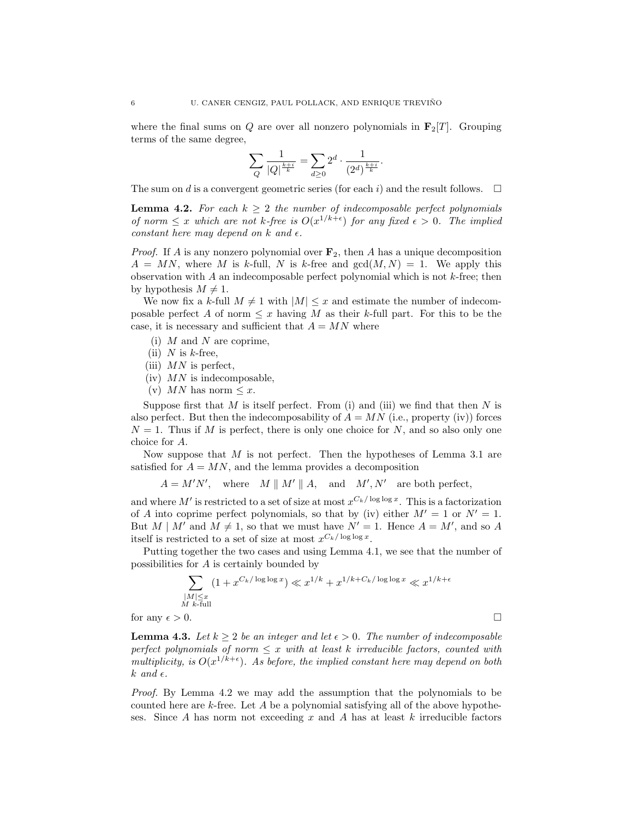where the final sums on Q are over all nonzero polynomials in  $\mathbf{F}_2[T]$ . Grouping terms of the same degree,

$$
\sum_{Q} \frac{1}{|Q|^{\frac{k+i}{k}}} = \sum_{d \geq 0} 2^d \cdot \frac{1}{(2^d)^{\frac{k+i}{k}}}.
$$

The sum on d is a convergent geometric series (for each i) and the result follows.  $\Box$ 

**Lemma 4.2.** For each  $k \geq 2$  the number of indecomposable perfect polynomials of norm  $\leq x$  which are not k-free is  $O(x^{1/k+\epsilon})$  for any fixed  $\epsilon > 0$ . The implied constant here may depend on k and  $\epsilon$ .

*Proof.* If A is any nonzero polynomial over  $\mathbf{F}_2$ , then A has a unique decomposition  $A = MN$ , where M is k-full, N is k-free and  $gcd(M, N) = 1$ . We apply this observation with  $A$  an indecomposable perfect polynomial which is not  $k$ -free; then by hypothesis  $M \neq 1$ .

We now fix a k-full  $M \neq 1$  with  $|M| \leq x$  and estimate the number of indecomposable perfect A of norm  $\leq x$  having M as their k-full part. For this to be the case, it is necessary and sufficient that  $A = MN$  where

- (i)  $M$  and  $N$  are coprime,
- (ii)  $N$  is  $k$ -free,
- (iii)  $MN$  is perfect,
- $(iv)$  MN is indecomposable,
- (v) MN has norm  $\leq x$ .

Suppose first that M is itself perfect. From (i) and (iii) we find that then N is also perfect. But then the indecomposability of  $A = MN$  (i.e., property (iv)) forces  $N = 1$ . Thus if M is perfect, there is only one choice for N, and so also only one choice for A.

Now suppose that  $M$  is not perfect. Then the hypotheses of Lemma 3.1 are satisfied for  $A = MN$ , and the lemma provides a decomposition

 $A = M'N'$ , where  $M \parallel M' \parallel A$ , and  $M', N'$  are both perfect,

and where M' is restricted to a set of size at most  $x^{C_k/\log \log x}$ . This is a factorization of A into coprime perfect polynomials, so that by (iv) either  $M' = 1$  or  $N' = 1$ . But  $M \mid M'$  and  $M \neq 1$ , so that we must have  $N' = 1$ . Hence  $A = M'$ , and so A itself is restricted to a set of size at most  $x^{C_k/\log \log x}$ .

Putting together the two cases and using Lemma 4.1, we see that the number of possibilities for A is certainly bounded by

$$
\sum_{\substack{|M| \le x \\ M \ k \text{-full}}} (1 + x^{C_k/\log \log x}) \ll x^{1/k} + x^{1/k + C_k/\log \log x} \ll x^{1/k + \epsilon}
$$
 for any  $\epsilon > 0$ .

**Lemma 4.3.** Let  $k \geq 2$  be an integer and let  $\epsilon > 0$ . The number of indecomposable perfect polynomials of norm  $\leq x$  with at least k irreducible factors, counted with multiplicity, is  $O(x^{1/k+\epsilon})$ . As before, the implied constant here may depend on both  $k$  and  $\epsilon$ .

Proof. By Lemma 4.2 we may add the assumption that the polynomials to be counted here are  $k$ -free. Let A be a polynomial satisfying all of the above hypotheses. Since A has norm not exceeding x and A has at least  $k$  irreducible factors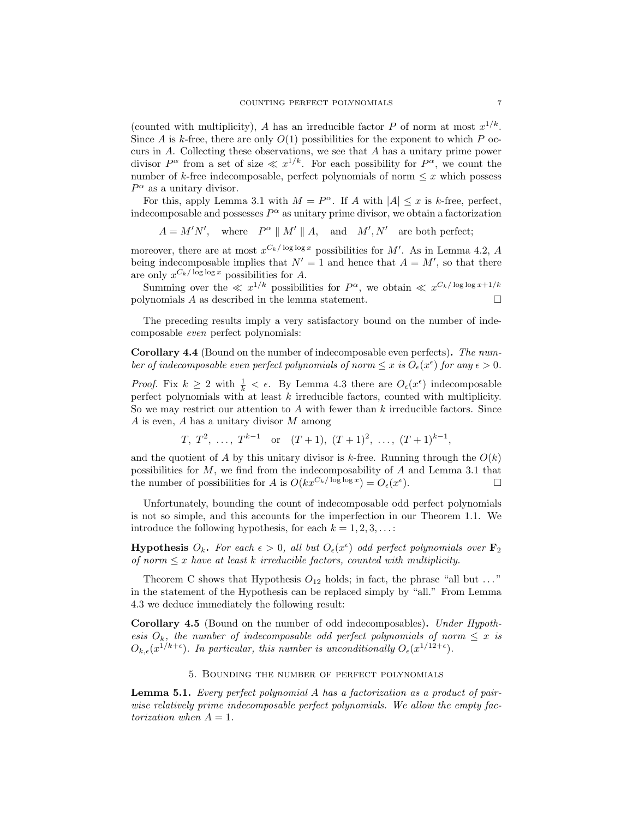(counted with multiplicity), A has an irreducible factor P of norm at most  $x^{1/k}$ . Since A is k-free, there are only  $O(1)$  possibilities for the exponent to which P occurs in A. Collecting these observations, we see that A has a unitary prime power divisor  $P^{\alpha}$  from a set of size  $\ll x^{1/k}$ . For each possibility for  $P^{\alpha}$ , we count the number of k-free indecomposable, perfect polynomials of norm  $\leq x$  which possess  $P^{\alpha}$  as a unitary divisor.

For this, apply Lemma 3.1 with  $M = P^{\alpha}$ . If A with  $|A| \leq x$  is k-free, perfect, indecomposable and possesses  $P^{\alpha}$  as unitary prime divisor, we obtain a factorization

$$
A = M'N'
$$
, where  $P^{\alpha} \parallel M' \parallel A$ , and  $M', N'$  are both perfect;

moreover, there are at most  $x^{C_k/\log \log x}$  possibilities for M'. As in Lemma 4.2, A being indecomposable implies that  $N' = 1$  and hence that  $A = M'$ , so that there are only  $x^{C_k/\log \log x}$  possibilities for A.

Summing over the  $\ll x^{1/k}$  possibilities for  $P^{\alpha}$ , we obtain  $\ll x^{C_k/\log \log x + 1/k}$ polynomials  $A$  as described in the lemma statement.

The preceding results imply a very satisfactory bound on the number of indecomposable even perfect polynomials:

Corollary 4.4 (Bound on the number of indecomposable even perfects). The number of indecomposable even perfect polynomials of norm  $\leq x$  is  $O_{\epsilon}(x^{\epsilon})$  for any  $\epsilon > 0$ .

*Proof.* Fix  $k \geq 2$  with  $\frac{1}{k} < \epsilon$ . By Lemma 4.3 there are  $O_{\epsilon}(x^{\epsilon})$  indecomposable perfect polynomials with at least  $k$  irreducible factors, counted with multiplicity. So we may restrict our attention to A with fewer than  $k$  irreducible factors. Since  $A$  is even,  $A$  has a unitary divisor  $M$  among

 $T, T^2, \ldots, T^{k-1}$  or  $(T+1), (T+1)^2, \ldots, (T+1)^{k-1}$ ,

and the quotient of A by this unitary divisor is k-free. Running through the  $O(k)$ possibilities for M, we find from the indecomposability of A and Lemma 3.1 that the number of possibilities for A is  $O(kx^{C_k/\log \log x}) = O_{\epsilon}(x^{\epsilon})$  $\Box$ 

Unfortunately, bounding the count of indecomposable odd perfect polynomials is not so simple, and this accounts for the imperfection in our Theorem 1.1. We introduce the following hypothesis, for each  $k = 1, 2, 3, \ldots$ :

**Hypothesis**  $O_k$ . For each  $\epsilon > 0$ , all but  $O_{\epsilon}(x^{\epsilon})$  odd perfect polynomials over  $\mathbf{F}_2$ of norm  $\leq x$  have at least k irreducible factors, counted with multiplicity.

Theorem C shows that Hypothesis  $O_{12}$  holds; in fact, the phrase "all but ..." in the statement of the Hypothesis can be replaced simply by "all." From Lemma 4.3 we deduce immediately the following result:

Corollary 4.5 (Bound on the number of odd indecomposables). Under Hypothesis  $O_k$ , the number of indecomposable odd perfect polynomials of norm  $\leq x$  is  $O_{k,\epsilon}(x^{1/k+\epsilon})$ . In particular, this number is unconditionally  $O_{\epsilon}(x^{1/12+\epsilon})$ .

## 5. Bounding the number of perfect polynomials

Lemma 5.1. Every perfect polynomial A has a factorization as a product of pairwise relatively prime indecomposable perfect polynomials. We allow the empty factorization when  $A = 1$ .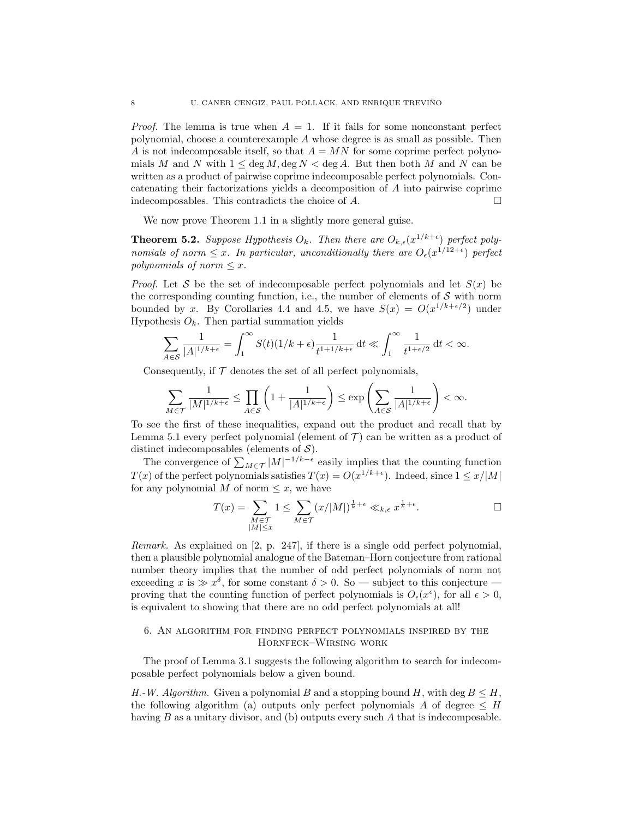*Proof.* The lemma is true when  $A = 1$ . If it fails for some nonconstant perfect polynomial, choose a counterexample A whose degree is as small as possible. Then A is not indecomposable itself, so that  $A = MN$  for some coprime perfect polynomials M and N with  $1 \leq \deg M$ ,  $\deg N < \deg A$ . But then both M and N can be written as a product of pairwise coprime indecomposable perfect polynomials. Concatenating their factorizations yields a decomposition of A into pairwise coprime indecomposables. This contradicts the choice of  $A$ .

We now prove Theorem 1.1 in a slightly more general guise.

**Theorem 5.2.** Suppose Hypothesis  $O_k$ . Then there are  $O_{k,\epsilon}(x^{1/k+\epsilon})$  perfect polynomials of norm  $\leq x$ . In particular, unconditionally there are  $O_{\epsilon}(x^{1/12+\epsilon})$  perfect polynomials of norm  $\leq x$ .

*Proof.* Let S be the set of indecomposable perfect polynomials and let  $S(x)$  be the corresponding counting function, i.e., the number of elements of  $S$  with norm bounded by x. By Corollaries 4.4 and 4.5, we have  $S(x) = O(x^{1/k + \epsilon/2})$  under Hypothesis  $O_k$ . Then partial summation yields

$$
\sum_{A\in\mathcal{S}}\frac{1}{|A|^{1/k+\epsilon}}=\int_1^\infty S(t)(1/k+\epsilon)\frac{1}{t^{1+1/k+\epsilon}}\,\mathrm{d} t\ll\int_1^\infty\frac{1}{t^{1+\epsilon/2}}\,\mathrm{d} t<\infty.
$$

Consequently, if  $\mathcal T$  denotes the set of all perfect polynomials,

$$
\sum_{M\in\mathcal{T}}\frac{1}{|M|^{1/k+\epsilon}}\leq \prod_{A\in\mathcal{S}}\left(1+\frac{1}{|A|^{1/k+\epsilon}}\right)\leq \exp\left(\sum_{A\in\mathcal{S}}\frac{1}{|A|^{1/k+\epsilon}}\right)<\infty.
$$

To see the first of these inequalities, expand out the product and recall that by Lemma 5.1 every perfect polynomial (element of  $\mathcal T$ ) can be written as a product of distinct indecomposables (elements of  $S$ ).

The convergence of  $\sum_{M \in \mathcal{T}} |M|^{-1/k - \epsilon}$  easily implies that the counting function  $T(x)$  of the perfect polynomials satisfies  $T(x) = O(x^{1/k + \epsilon})$ . Indeed, since  $1 \leq x/|M|$ for any polynomial M of norm  $\leq x$ , we have

$$
T(x) = \sum_{\substack{M \in \mathcal{T} \\ |M| \le x}} 1 \le \sum_{M \in \mathcal{T}} (x/|M|)^{\frac{1}{k} + \epsilon} \ll_{k,\epsilon} x^{\frac{1}{k} + \epsilon}.
$$

Remark. As explained on [2, p. 247], if there is a single odd perfect polynomial, then a plausible polynomial analogue of the Bateman–Horn conjecture from rational number theory implies that the number of odd perfect polynomials of norm not exceeding x is  $\gg x^{\delta}$ , for some constant  $\delta > 0$ . So — subject to this conjecture proving that the counting function of perfect polynomials is  $O_{\epsilon}(x^{\epsilon})$ , for all  $\epsilon > 0$ , is equivalent to showing that there are no odd perfect polynomials at all!

# 6. An algorithm for finding perfect polynomials inspired by the Hornfeck–Wirsing work

The proof of Lemma 3.1 suggests the following algorithm to search for indecomposable perfect polynomials below a given bound.

H.-W. Algorithm. Given a polynomial B and a stopping bound H, with deg  $B \leq H$ , the following algorithm (a) outputs only perfect polynomials A of degree  $\leq H$ having B as a unitary divisor, and (b) outputs every such A that is indecomposable.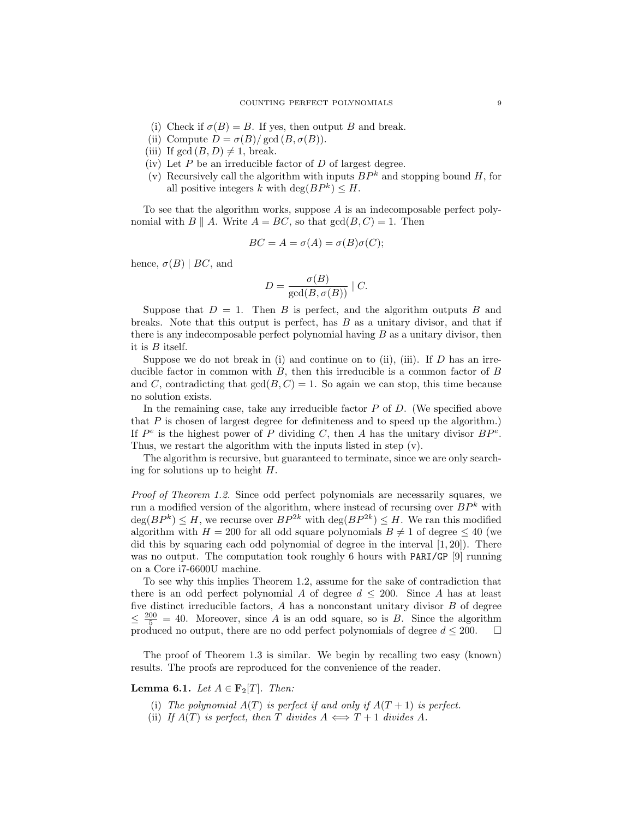- (i) Check if  $\sigma(B) = B$ . If yes, then output B and break.
- (ii) Compute  $D = \sigma(B)/\gcd(B, \sigma(B)).$
- (iii) If  $gcd(B, D) \neq 1$ , break.
- (iv) Let  $P$  be an irreducible factor of  $D$  of largest degree.
- (v) Recursively call the algorithm with inputs  $BP^k$  and stopping bound H, for all positive integers k with  $\deg(BP^k) \leq H$ .

To see that the algorithm works, suppose  $A$  is an indecomposable perfect polynomial with  $B \parallel A$ . Write  $A = BC$ , so that  $gcd(B, C) = 1$ . Then

$$
BC = A = \sigma(A) = \sigma(B)\sigma(C);
$$

hence,  $\sigma(B) \mid BC$ , and

$$
D = \frac{\sigma(B)}{\gcd(B, \sigma(B))} \mid C.
$$

Suppose that  $D = 1$ . Then B is perfect, and the algorithm outputs B and breaks. Note that this output is perfect, has  $B$  as a unitary divisor, and that if there is any indecomposable perfect polynomial having  $B$  as a unitary divisor, then it is B itself.

Suppose we do not break in (i) and continue on to (ii), (iii). If  $D$  has an irreducible factor in common with  $B$ , then this irreducible is a common factor of  $B$ and C, contradicting that  $gcd(B, C) = 1$ . So again we can stop, this time because no solution exists.

In the remaining case, take any irreducible factor  $P$  of  $D$ . (We specified above that  $P$  is chosen of largest degree for definiteness and to speed up the algorithm.) If  $P^e$  is the highest power of P dividing C, then A has the unitary divisor  $BP^e$ . Thus, we restart the algorithm with the inputs listed in step (v).

The algorithm is recursive, but guaranteed to terminate, since we are only searching for solutions up to height  $H$ .

Proof of Theorem 1.2. Since odd perfect polynomials are necessarily squares, we run a modified version of the algorithm, where instead of recursing over  $BP^k$  with  $deg(BP^k) \leq H$ , we recurse over  $BP^{2k}$  with  $deg(BP^{2k}) \leq H$ . We ran this modified algorithm with  $H = 200$  for all odd square polynomials  $B \neq 1$  of degree  $\leq 40$  (we did this by squaring each odd polynomial of degree in the interval  $[1, 20]$ . There was no output. The computation took roughly 6 hours with PARI/GP [9] running on a Core i7-6600U machine.

To see why this implies Theorem 1.2, assume for the sake of contradiction that there is an odd perfect polynomial A of degree  $d \leq 200$ . Since A has at least five distinct irreducible factors, A has a nonconstant unitary divisor B of degree  $\leq \frac{200}{5} = 40$ . Moreover, since A is an odd square, so is B. Since the algorithm produced no output, there are no odd perfect polynomials of degree  $d \leq 200$ .  $\Box$ 

The proof of Theorem 1.3 is similar. We begin by recalling two easy (known) results. The proofs are reproduced for the convenience of the reader.

**Lemma 6.1.** Let  $A \in \mathbf{F}_2[T]$ . Then:

- (i) The polynomial  $A(T)$  is perfect if and only if  $A(T + 1)$  is perfect.
- (ii) If  $A(T)$  is perfect, then T divides  $A \iff T + 1$  divides A.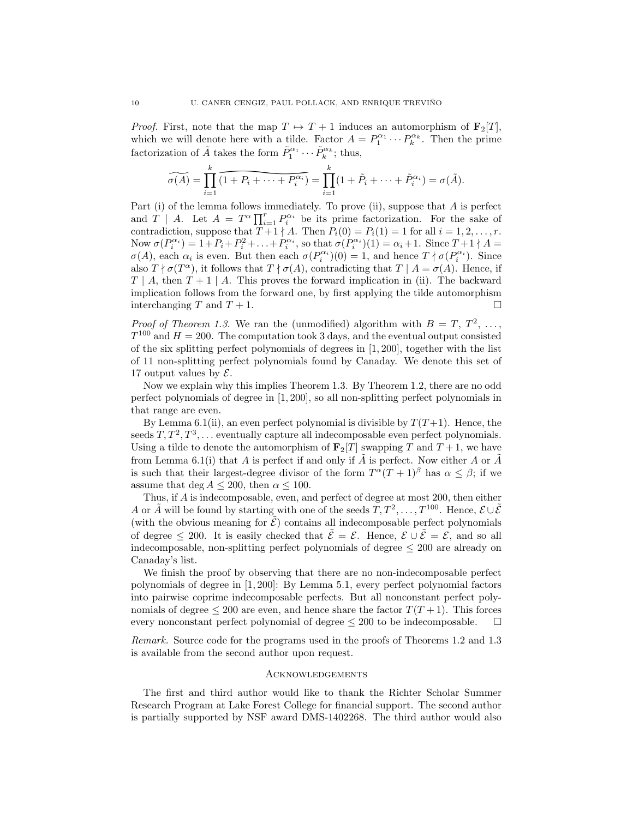*Proof.* First, note that the map  $T \mapsto T + 1$  induces an automorphism of  $\mathbf{F}_2[T]$ , which we will denote here with a tilde. Factor  $A = P_1^{\alpha_1} \cdots P_k^{\alpha_k}$ . Then the prime factorization of  $\tilde{A}$  takes the form  $\tilde{P}_1^{\alpha_1} \cdots \tilde{P}_k^{\alpha_k}$ ; thus,

$$
\widetilde{\sigma(A)} = \prod_{i=1}^k \widetilde{(1 + P_i + \dots + P_i^{\alpha_i})} = \prod_{i=1}^k (1 + \widetilde{P}_i + \dots + \widetilde{P}_i^{\alpha_i}) = \sigma(\widetilde{A}).
$$

e here with a tilde.<br>
kes the form  $\tilde{P}_1^{\alpha_1}$ .<br>  $1 + P_i + \cdots + P_i^{\alpha_i}$ ,<br>
a follows immediat<br>  $= T^{\alpha} \prod_{i=1}^r P_i^{\alpha_i}$  b<br>
se that  $T + 1 \nmid A$ . T<br>  $: + P_i^2 + \cdots + P_i^{\alpha_i}$ , so<br>
n. But then each  $\sigma$ Part (i) of the lemma follows immediately. To prove (ii), suppose that A is perfect and  $T$  | A. Let  $A = T^{\alpha} \prod_{i=1}^{r} P_i^{\alpha_i}$  be its prime factorization. For the sake of contradiction, suppose that  $T+1 \nmid A$ . Then  $P_i(0) = P_i(1) = 1$  for all  $i = 1, 2, ..., r$ . Now  $\sigma(P_i^{\alpha_i}) = 1 + P_i + P_i^2 + \ldots + P_i^{\alpha_i}$ , so that  $\sigma(P_i^{\alpha_i})(1) = \alpha_i + 1$ . Since  $T + 1 \nmid A =$  $\sigma(A)$ , each  $\alpha_i$  is even. But then each  $\sigma(P_i^{\alpha_i})(0) = 1$ , and hence  $T \nmid \sigma(P_i^{\alpha_i})$ . Since also  $T \nmid \sigma(T^{\alpha})$ , it follows that  $T \nmid \sigma(A)$ , contradicting that  $T \mid A = \sigma(A)$ . Hence, if  $T \mid A$ , then  $T+1 \mid A$ . This proves the forward implication in (ii). The backward implication follows from the forward one, by first applying the tilde automorphism interchanging T and  $T + 1$ .

*Proof of Theorem 1.3.* We ran the (unmodified) algorithm with  $B = T, T^2, \ldots$ ,  $T^{100}$  and  $H = 200$ . The computation took 3 days, and the eventual output consisted of the six splitting perfect polynomials of degrees in [1, 200], together with the list of 11 non-splitting perfect polynomials found by Canaday. We denote this set of 17 output values by  $\mathcal{E}$ .

Now we explain why this implies Theorem 1.3. By Theorem 1.2, there are no odd perfect polynomials of degree in [1, 200], so all non-splitting perfect polynomials in that range are even.

By Lemma 6.1(ii), an even perfect polynomial is divisible by  $T(T+1)$ . Hence, the seeds  $T, T^2, T^3, \ldots$  eventually capture all indecomposable even perfect polynomials. Using a tilde to denote the automorphism of  $\mathbf{F}_2[T]$  swapping T and  $T+1$ , we have from Lemma 6.1(i) that A is perfect if and only if  $\tilde{A}$  is perfect. Now either A or  $\tilde{A}$ is such that their largest-degree divisor of the form  $T^{\alpha}(T+1)^{\beta}$  has  $\alpha \leq \beta$ ; if we assume that deg  $A \leq 200$ , then  $\alpha \leq 100$ .

Thus, if A is indecomposable, even, and perfect of degree at most 200, then either A or  $\tilde{A}$  will be found by starting with one of the seeds  $\tilde{T}, T^2, \ldots, T^{100}$ . Hence,  $\mathcal{E} \cup \tilde{\mathcal{E}}$ (with the obvious meaning for  $\tilde{\mathcal{E}}$ ) contains all indecomposable perfect polynomials of degree  $\leq 200$ . It is easily checked that  $\tilde{\mathcal{E}} = \mathcal{E}$ . Hence,  $\mathcal{E} \cup \tilde{\mathcal{E}} = \mathcal{E}$ , and so all indecomposable, non-splitting perfect polynomials of degree  $\leq 200$  are already on Canaday's list.

We finish the proof by observing that there are no non-indecomposable perfect polynomials of degree in [1, 200]: By Lemma 5.1, every perfect polynomial factors into pairwise coprime indecomposable perfects. But all nonconstant perfect polynomials of degree  $\leq 200$  are even, and hence share the factor  $T(T+1)$ . This forces every nonconstant perfect polynomial of degree  $\leq 200$  to be indecomposable.  $\Box$ 

Remark. Source code for the programs used in the proofs of Theorems 1.2 and 1.3 is available from the second author upon request.

### Acknowledgements

The first and third author would like to thank the Richter Scholar Summer Research Program at Lake Forest College for financial support. The second author is partially supported by NSF award DMS-1402268. The third author would also